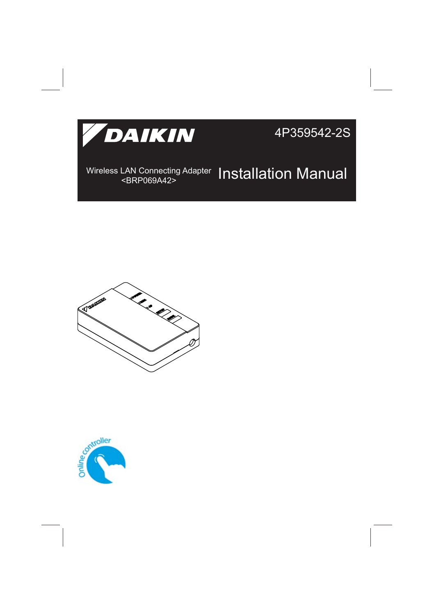

4P359542-2S

#### Wireless LAN Connecting Adapter **Installation Manual**



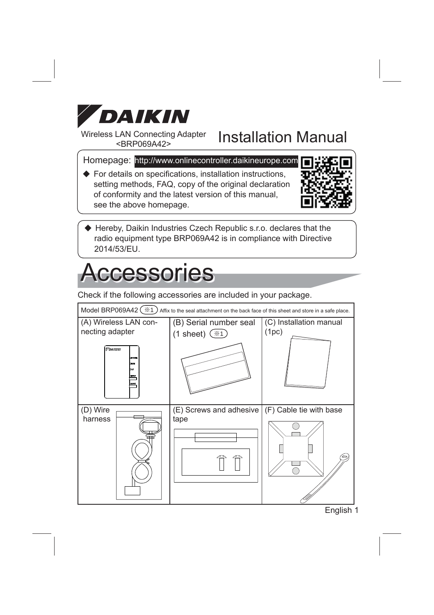

Wireless LAN Connecting Adapter

#### LAN Connecting Adapter Installation Manual

Homepage: http://www.onlinecontroller.daikineurope.com

 $\blacklozenge$  For details on specifications, installation instructions, setting methods, FAQ, copy of the original declaration of conformity and the latest version of this manual, see the above homepage.



 Hereby, Daikin Industries Czech Republic s.r.o. declares that the radio equipment type BRP069A42 is in compliance with Directive 2014/53/EU.

### **Accessories**

Check if the following accessories are included in your package.



English 1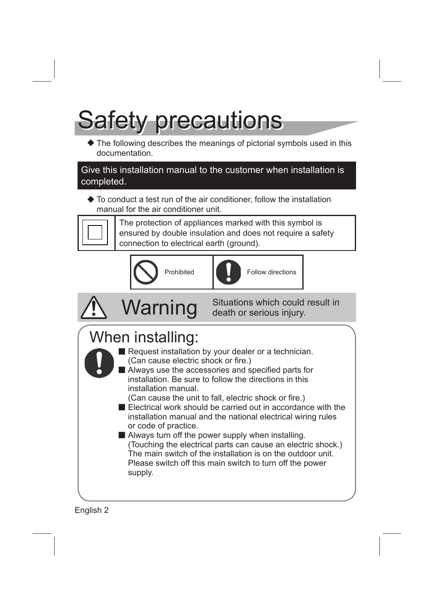# Safety precautions

The following describes the meanings of pictorial symbols used in this documentation.

Give this installation manual to the customer when installation is completed.

 $\triangle$  To conduct a test run of the air conditioner, follow the installation manual for the air conditioner unit.



The protection of appliances marked with this symbol is ensured by double insulation and does not require a safety connection to electrical earth (ground).





Prohibited **Follow** directions





**Warning** Situations which could result in death or serious injury.

### When installing:



- Request installation by your dealer or a technician. (Can cause electric shock or fire.)
- Always use the accessories and specified parts for installation. Be sure to follow the directions in this installation manual.

(Can cause the unit to fall, electric shock or fire.)

■ Electrical work should be carried out in accordance with the installation manual and the national electrical wiring rules or code of practice.

Always turn off the power supply when installing. (Touching the electrical parts can cause an electric shock.) The main switch of the installation is on the outdoor unit. Please switch off this main switch to turn off the power supply.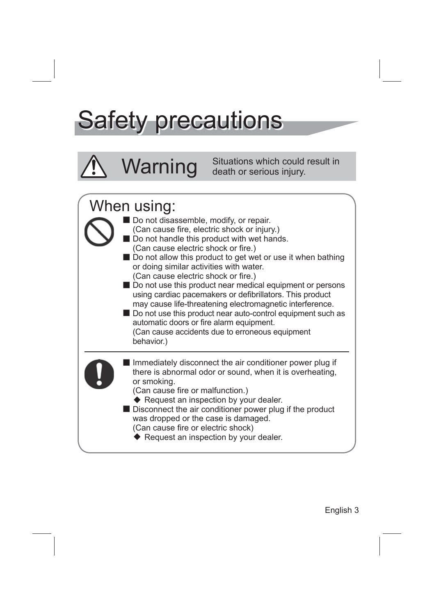## Safety precautions

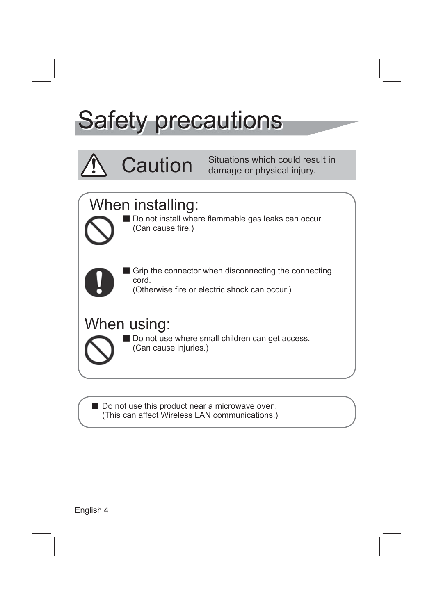## Safety precautions

**Caution** Situations which could result in damage or physical injury.

#### When installing:

Do not install where flammable gas leaks can occur. (Can cause fire.)



Grip the connector when disconnecting the connecting cord.

(Otherwise fire or electric shock can occur.)

#### When using:

Do not use where small children can get access. (Can cause injuries.)

Do not use this product near a microwave oven. (This can affect Wireless LAN communications.)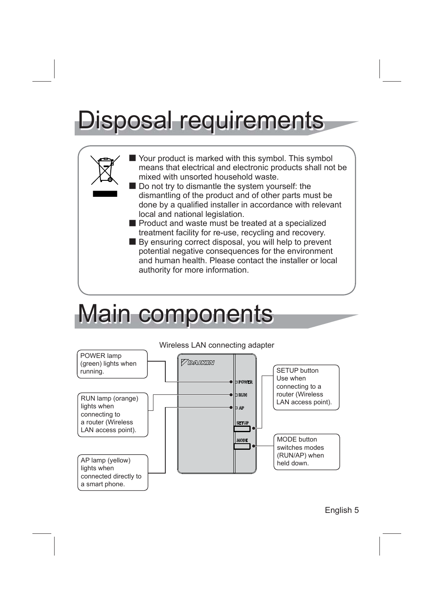# Disposal requirements



## Main components

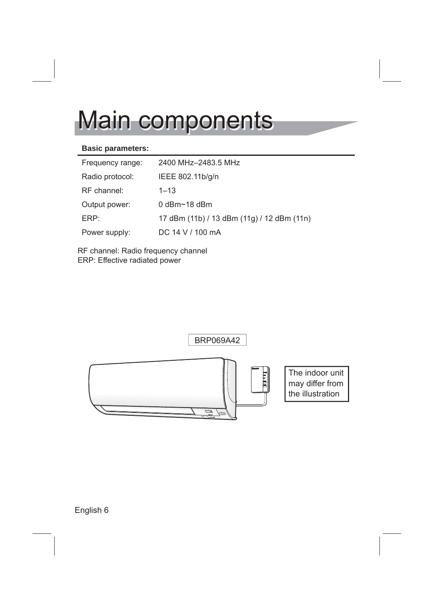## Main components

#### **Basic parameters:**

| Frequency range: | 2400 MHz-2483.5 MHz                        |
|------------------|--------------------------------------------|
| Radio protocol:  | IEEE 802.11b/g/n                           |
| RF channel:      | $1 - 13$                                   |
| Output power:    | $0$ dBm $\sim$ 18 dBm                      |
| $FRP+$           | 17 dBm (11b) / 13 dBm (11g) / 12 dBm (11n) |
| Power supply:    | DC 14 V / 100 mA                           |

RF channel: Radio frequency channel ERP: Effective radiated power

BRP069A42



The indoor unit may differ from the illustration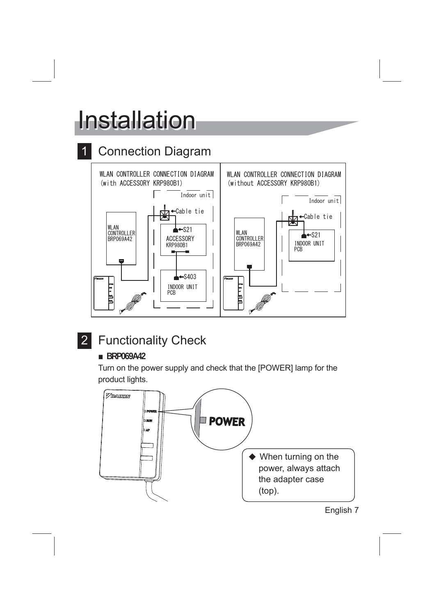# **Installation**

#### **Connection Diagram**



#### 2 Functionality Check

#### ■ **BRP069A42**

Turn on the power supply and check that the [POWER] lamp for the product lights.

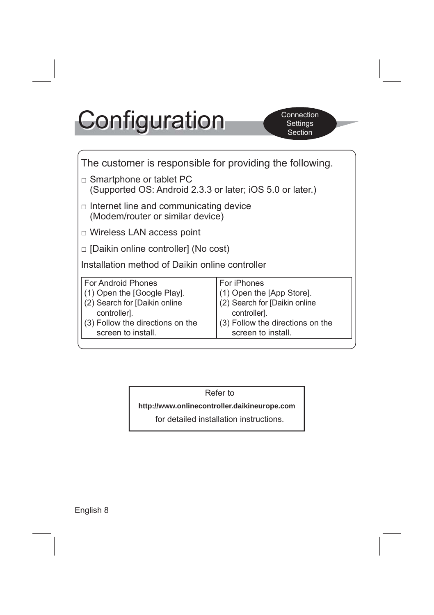# **Configuration**

| The customer is responsible for providing the following.                                                                                                     |                                                                                                                                                     |  |  |
|--------------------------------------------------------------------------------------------------------------------------------------------------------------|-----------------------------------------------------------------------------------------------------------------------------------------------------|--|--|
| $\Box$ Smartphone or tablet PC<br>(Supported OS: Android 2.3.3 or later; iOS 5.0 or later.)                                                                  |                                                                                                                                                     |  |  |
| $\Box$ Internet line and communicating device<br>(Modem/router or similar device)                                                                            |                                                                                                                                                     |  |  |
| $\Box$ Wireless LAN access point                                                                                                                             |                                                                                                                                                     |  |  |
| □ [Daikin online controller] (No cost)                                                                                                                       |                                                                                                                                                     |  |  |
| Installation method of Daikin online controller                                                                                                              |                                                                                                                                                     |  |  |
| For Android Phones<br>(1) Open the [Google Play].<br>(2) Search for [Daikin online<br>controller].<br>(3) Follow the directions on the<br>screen to install. | For iPhones<br>(1) Open the [App Store].<br>(2) Search for [Daikin online<br>controller].<br>(3) Follow the directions on the<br>screen to install. |  |  |

Refer to

**http://www.onlinecontroller.daikineurope.com**

for detailed installation instructions.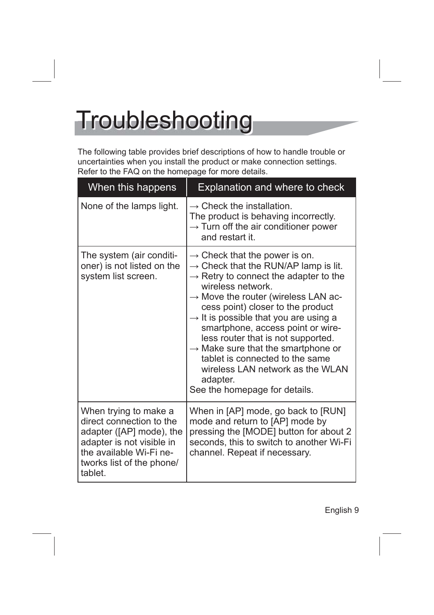## **Troubleshooting**

The following table provides brief descriptions of how to handle trouble or uncertainties when you install the product or make connection settings. Refer to the FAQ on the homepage for more details.

| When this happens                                                                                                                                                             | Explanation and where to check                                                                                                                                                                                                                                                                                                                                                                                                                                                                                                                                        |
|-------------------------------------------------------------------------------------------------------------------------------------------------------------------------------|-----------------------------------------------------------------------------------------------------------------------------------------------------------------------------------------------------------------------------------------------------------------------------------------------------------------------------------------------------------------------------------------------------------------------------------------------------------------------------------------------------------------------------------------------------------------------|
| None of the lamps light.                                                                                                                                                      | $\rightarrow$ Check the installation.<br>The product is behaving incorrectly.<br>$\rightarrow$ Turn off the air conditioner power<br>and restart it.                                                                                                                                                                                                                                                                                                                                                                                                                  |
| The system (air conditi-<br>oner) is not listed on the<br>system list screen.                                                                                                 | $\rightarrow$ Check that the power is on.<br>$\rightarrow$ Check that the RUN/AP lamp is lit.<br>$\rightarrow$ Retry to connect the adapter to the<br>wireless network.<br>$\rightarrow$ Move the router (wireless LAN ac-<br>cess point) closer to the product<br>$\rightarrow$ It is possible that you are using a<br>smartphone, access point or wire-<br>less router that is not supported.<br>$\rightarrow$ Make sure that the smartphone or<br>tablet is connected to the same<br>wireless LAN network as the WLAN<br>adapter.<br>See the homepage for details. |
| When trying to make a<br>direct connection to the<br>adapter ([AP] mode), the<br>adapter is not visible in<br>the available Wi-Fi ne-<br>tworks list of the phone/<br>tablet. | When in [AP] mode, go back to [RUN]<br>mode and return to [AP] mode by<br>pressing the [MODE] button for about 2<br>seconds, this to switch to another Wi-Fi<br>channel. Repeat if necessary.                                                                                                                                                                                                                                                                                                                                                                         |